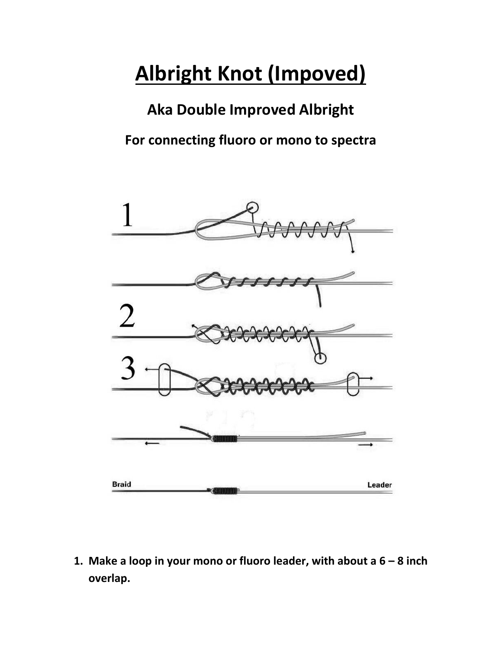## **Albright Knot (Impoved)**

**Aka Double Improved Albright For connecting fluoro or mono to spectra** 



**1. Make a loop in your mono or fluoro leader, with about a 6 – 8 inch overlap.**